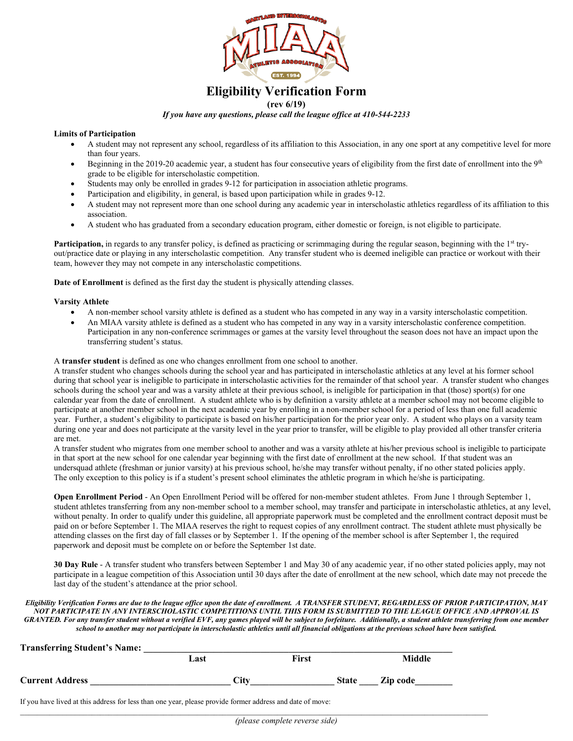

# **Eligibility Verification Form**

### **(rev 6/19)**

## *If you have any questions, please call the league office at 410-544-2233*

### **Limits of Participation**

- A student may not represent any school, regardless of its affiliation to this Association, in any one sport at any competitive level for more than four years.
- Beginning in the 2019-20 academic year, a student has four consecutive years of eligibility from the first date of enrollment into the 9<sup>th</sup> grade to be eligible for interscholastic competition.
- Students may only be enrolled in grades 9-12 for participation in association athletic programs.
- Participation and eligibility, in general, is based upon participation while in grades 9-12.
- A student may not represent more than one school during any academic year in interscholastic athletics regardless of its affiliation to this association.
- A student who has graduated from a secondary education program, either domestic or foreign, is not eligible to participate.

**Participation,** in regards to any transfer policy, is defined as practicing or scrimmaging during the regular season, beginning with the 1<sup>st</sup> tryout/practice date or playing in any interscholastic competition.Any transfer student who is deemed ineligible can practice or workout with their team, however they may not compete in any interscholastic competitions.

**Date of Enrollment** is defined as the first day the student is physically attending classes.

### **Varsity Athlete**

- A non-member school varsity athlete is defined as a student who has competed in any way in a varsity interscholastic competition.
- An MIAA varsity athlete is defined as a student who has competed in any way in a varsity interscholastic conference competition. Participation in any non-conference scrimmages or games at the varsity level throughout the season does not have an impact upon the transferring student's status.

A **transfer student** is defined as one who changes enrollment from one school to another.

A transfer student who changes schools during the school year and has participated in interscholastic athletics at any level at his former school during that school year is ineligible to participate in interscholastic activities for the remainder of that school year. A transfer student who changes schools during the school year and was a varsity athlete at their previous school, is ineligible for participation in that (those) sport(s) for one calendar year from the date of enrollment. A student athlete who is by definition a varsity athlete at a member school may not become eligible to participate at another member school in the next academic year by enrolling in a non-member school for a period of less than one full academic year. Further, a student's eligibility to participate is based on his/her participation for the prior year only. A student who plays on a varsity team during one year and does not participate at the varsity level in the year prior to transfer, will be eligible to play provided all other transfer criteria are met.

A transfer student who migrates from one member school to another and was a varsity athlete at his/her previous school is ineligible to participate in that sport at the new school for one calendar year beginning with the first date of enrollment at the new school. If that student was an undersquad athlete (freshman or junior varsity) at his previous school, he/she may transfer without penalty, if no other stated policies apply. The only exception to this policy is if a student's present school eliminates the athletic program in which he/she is participating.

**Open Enrollment Period** - An Open Enrollment Period will be offered for non-member student athletes. From June 1 through September 1, student athletes transferring from any non-member school to a member school, may transfer and participate in interscholastic athletics, at any level, without penalty. In order to qualify under this guideline, all appropriate paperwork must be completed and the enrollment contract deposit must be paid on or before September 1. The MIAA reserves the right to request copies of any enrollment contract. The student athlete must physically be attending classes on the first day of fall classes or by September 1. If the opening of the member school is after September 1, the required paperwork and deposit must be complete on or before the September 1st date.

**30 Day Rule** - A transfer student who transfers between September 1 and May 30 of any academic year, if no other stated policies apply, may not participate in a league competition of this Association until 30 days after the date of enrollment at the new school, which date may not precede the last day of the student's attendance at the prior school.

*Eligibility Verification Forms are due to the league office upon the date of enrollment. A TRANSFER STUDENT, REGARDLESS OF PRIOR PARTICIPATION, MAY NOT PARTICIPATE IN ANY INTERSCHOLASTIC COMPETITIONS UNTIL THIS FORM IS SUBMITTED TO THE LEAGUE OFFICE AND APPROVAL IS*  GRANTED. For any transfer student without a verified EVF, any games played will be subject to forfeiture. Additionally, a student athlete transferring from one member *school to another may not participate in interscholastic athletics until all financial obligations at the previous school have been satisfied.*

|                        | Last | <b>First</b> | Middle   |
|------------------------|------|--------------|----------|
| <b>Current Address</b> | City | <b>State</b> | Zip code |

*\_\_\_\_\_\_\_\_\_\_\_\_\_\_\_\_\_\_\_\_\_\_\_\_\_\_\_\_\_\_\_\_\_\_\_\_\_\_\_\_\_\_\_\_\_\_\_\_\_\_\_\_\_\_\_\_\_\_\_\_\_\_\_\_\_\_\_\_\_\_\_\_\_\_\_\_\_\_\_\_\_\_\_\_\_\_\_\_\_\_\_\_\_\_\_\_\_\_\_\_\_\_\_\_\_\_\_\_\_\_\_*